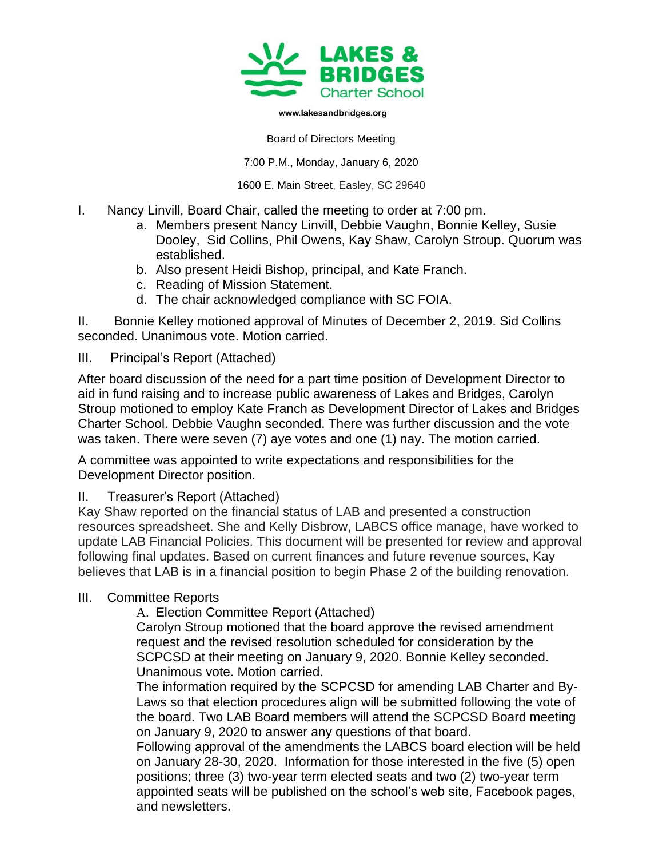

## www.lakesandbridges.org

Board of Directors Meeting

7:00 P.M., Monday, January 6, 2020

1600 E. Main Street, Easley, SC 29640

- I. Nancy Linvill, Board Chair, called the meeting to order at 7:00 pm.
	- a. Members present Nancy Linvill, Debbie Vaughn, Bonnie Kelley, Susie Dooley, Sid Collins, Phil Owens, Kay Shaw, Carolyn Stroup. Quorum was established.
	- b. Also present Heidi Bishop, principal, and Kate Franch.
	- c. Reading of Mission Statement.
	- d. The chair acknowledged compliance with SC FOIA.

II. Bonnie Kelley motioned approval of Minutes of December 2, 2019. Sid Collins seconded. Unanimous vote. Motion carried.

## III. Principal's Report (Attached)

After board discussion of the need for a part time position of Development Director to aid in fund raising and to increase public awareness of Lakes and Bridges, Carolyn Stroup motioned to employ Kate Franch as Development Director of Lakes and Bridges Charter School. Debbie Vaughn seconded. There was further discussion and the vote was taken. There were seven (7) aye votes and one (1) nay. The motion carried.

A committee was appointed to write expectations and responsibilities for the Development Director position.

## II. Treasurer's Report (Attached)

Kay Shaw reported on the financial status of LAB and presented a construction resources spreadsheet. She and Kelly Disbrow, LABCS office manage, have worked to update LAB Financial Policies. This document will be presented for review and approval following final updates. Based on current finances and future revenue sources, Kay believes that LAB is in a financial position to begin Phase 2 of the building renovation.

## III. Committee Reports

A. Election Committee Report (Attached)

Carolyn Stroup motioned that the board approve the revised amendment request and the revised resolution scheduled for consideration by the SCPCSD at their meeting on January 9, 2020. Bonnie Kelley seconded. Unanimous vote. Motion carried.

The information required by the SCPCSD for amending LAB Charter and By-Laws so that election procedures align will be submitted following the vote of the board. Two LAB Board members will attend the SCPCSD Board meeting on January 9, 2020 to answer any questions of that board.

Following approval of the amendments the LABCS board election will be held on January 28-30, 2020. Information for those interested in the five (5) open positions; three (3) two-year term elected seats and two (2) two-year term appointed seats will be published on the school's web site, Facebook pages, and newsletters.